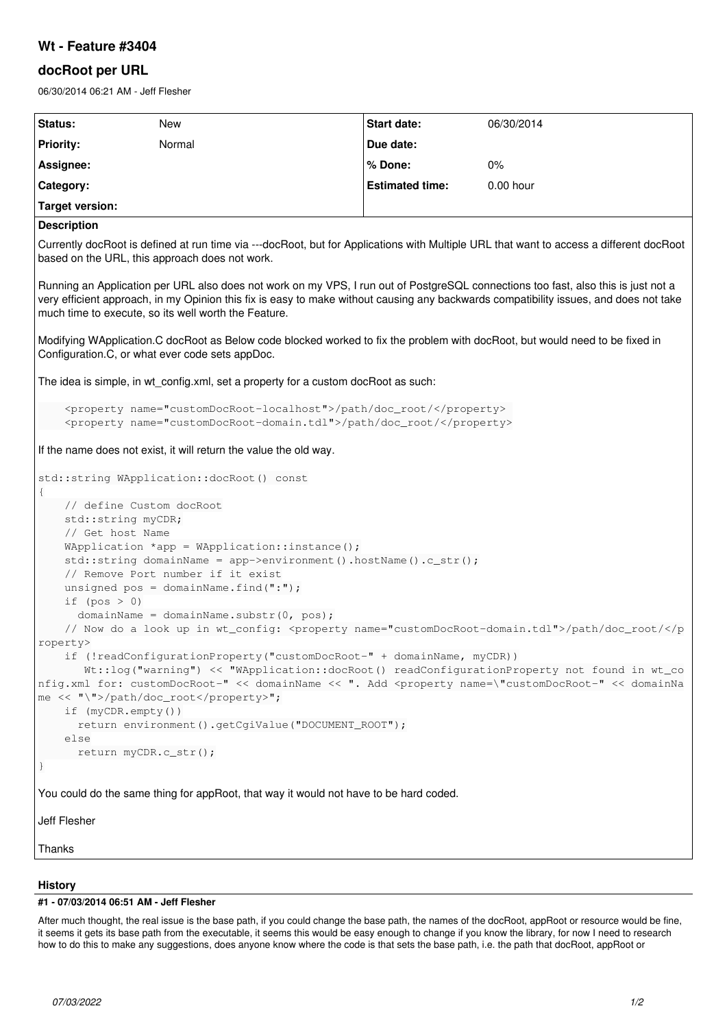## **Wt - Feature #3404**

## **docRoot per URL**

06/30/2014 06:21 AM - Jeff Flesher

| Status:                                                                                                                                                                                                                                                                                                                             | <b>New</b> | Start date:            | 06/30/2014 |
|-------------------------------------------------------------------------------------------------------------------------------------------------------------------------------------------------------------------------------------------------------------------------------------------------------------------------------------|------------|------------------------|------------|
| <b>Priority:</b>                                                                                                                                                                                                                                                                                                                    | Normal     | Due date:              |            |
| Assignee:                                                                                                                                                                                                                                                                                                                           |            | % Done:                | $0\%$      |
| Category:                                                                                                                                                                                                                                                                                                                           |            | <b>Estimated time:</b> | 0.00 hour  |
| <b>Target version:</b>                                                                                                                                                                                                                                                                                                              |            |                        |            |
| <b>Description</b>                                                                                                                                                                                                                                                                                                                  |            |                        |            |
| Currently docRoot is defined at run time via ---docRoot, but for Applications with Multiple URL that want to access a different docRoot<br>based on the URL, this approach does not work.                                                                                                                                           |            |                        |            |
| Running an Application per URL also does not work on my VPS, I run out of PostgreSQL connections too fast, also this is just not a<br>very efficient approach, in my Opinion this fix is easy to make without causing any backwards compatibility issues, and does not take<br>much time to execute, so its well worth the Feature. |            |                        |            |
| Modifying WApplication.C docRoot as Below code blocked worked to fix the problem with docRoot, but would need to be fixed in<br>Configuration.C, or what ever code sets appDoc.                                                                                                                                                     |            |                        |            |
| The idea is simple, in wt config.xml, set a property for a custom docRoot as such:                                                                                                                                                                                                                                                  |            |                        |            |
| <property name="customDocRoot-localhost">/path/doc_root/</property><br><property name="customDocRoot-domain.tdl">/path/doc_root/</property>                                                                                                                                                                                         |            |                        |            |
| If the name does not exist, it will return the value the old way.                                                                                                                                                                                                                                                                   |            |                        |            |
| std::string WApplication::docRoot() const<br>$\{$                                                                                                                                                                                                                                                                                   |            |                        |            |
| // define Custom docRoot                                                                                                                                                                                                                                                                                                            |            |                        |            |
| std::string myCDR;<br>// Get host Name                                                                                                                                                                                                                                                                                              |            |                        |            |
| WApplication *app = WApplication::instance();                                                                                                                                                                                                                                                                                       |            |                        |            |
| $std::string domainName = app-> environment() .hostName().c_str();$                                                                                                                                                                                                                                                                 |            |                        |            |
| // Remove Port number if it exist<br>unsigned $pos = domainName.find(":");$                                                                                                                                                                                                                                                         |            |                        |            |
| if $(pos > 0)$                                                                                                                                                                                                                                                                                                                      |            |                        |            |
| domainName = domainName.substr(0, pos);                                                                                                                                                                                                                                                                                             |            |                        |            |
| // Now do a look up in wt_config: <property name="customDocRoot-domain.tdl">/path/doc_root/roperty&gt;</property>                                                                                                                                                                                                                   |            |                        |            |
| if (!readConfigurationProperty("customDocRoot-" + domainName, myCDR))                                                                                                                                                                                                                                                               |            |                        |            |
| Wt::log("warning") << "WApplication::docRoot() readConfigurationProperty not found in wt_co<br>nfig.xml for: customDocRoot-" << domainName << ". Add <property <<="" domainna<="" name='\"customDocRoot-"' td=""></property>                                                                                                        |            |                        |            |
| me << "\">/path/doc_root";                                                                                                                                                                                                                                                                                                          |            |                        |            |
| if (myCDR.empty())                                                                                                                                                                                                                                                                                                                  |            |                        |            |
| return environment().getCgiValue("DOCUMENT_ROOT");<br>else                                                                                                                                                                                                                                                                          |            |                        |            |
| return myCDR.c_str();                                                                                                                                                                                                                                                                                                               |            |                        |            |
|                                                                                                                                                                                                                                                                                                                                     |            |                        |            |
| You could do the same thing for appRoot, that way it would not have to be hard coded.                                                                                                                                                                                                                                               |            |                        |            |
| Jeff Flesher                                                                                                                                                                                                                                                                                                                        |            |                        |            |
| Thanks                                                                                                                                                                                                                                                                                                                              |            |                        |            |

## **History**

## **#1 - 07/03/2014 06:51 AM - Jeff Flesher**

After much thought, the real issue is the base path, if you could change the base path, the names of the docRoot, appRoot or resource would be fine, it seems it gets its base path from the executable, it seems this would be easy enough to change if you know the library, for now I need to research how to do this to make any suggestions, does anyone know where the code is that sets the base path, i.e. the path that docRoot, appRoot or